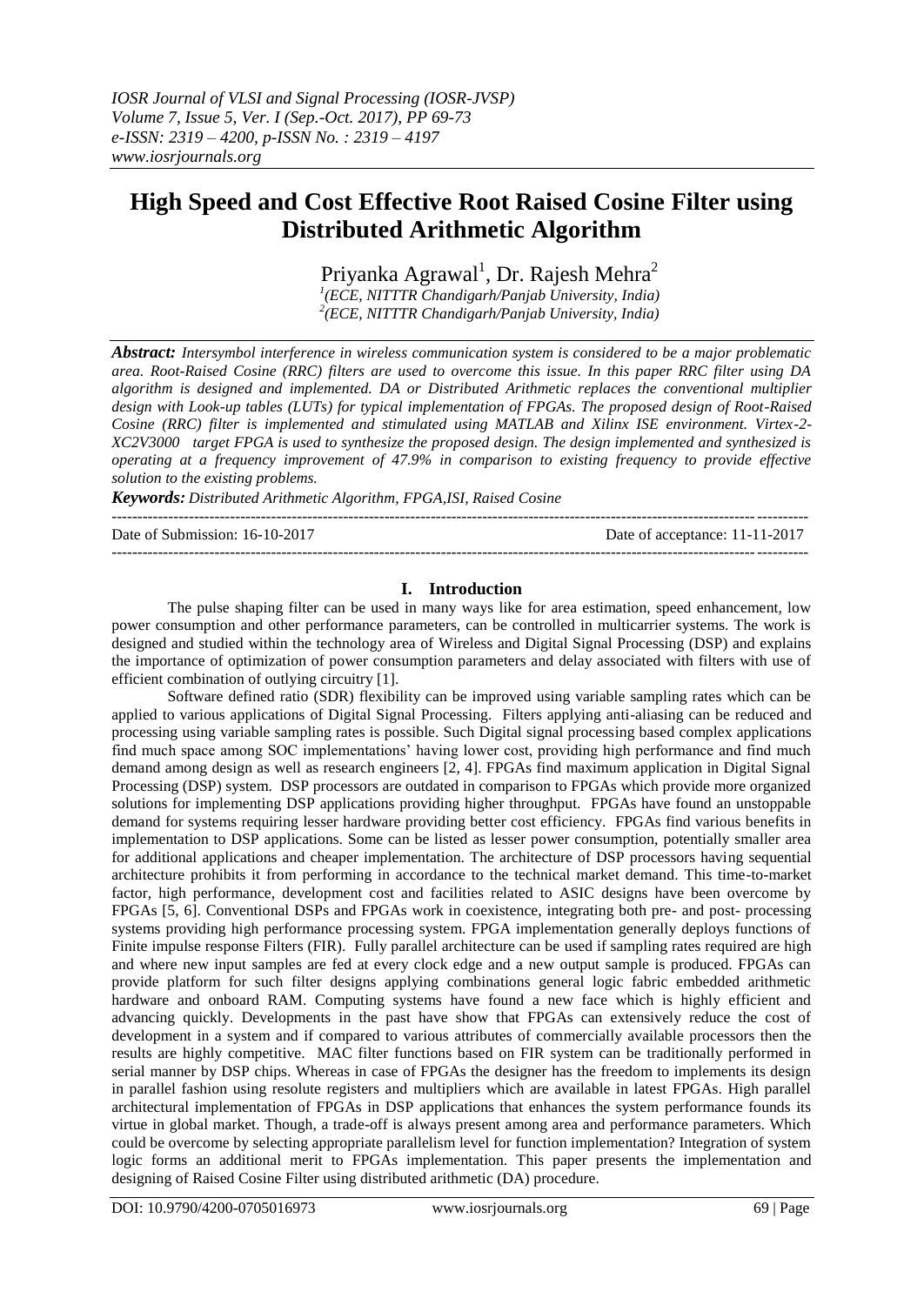# **High Speed and Cost Effective Root Raised Cosine Filter using Distributed Arithmetic Algorithm**

Priyanka Agrawal<sup>1</sup>, Dr. Rajesh Mehra<sup>2</sup>

*1 (ECE, NITTTR Chandigarh/Panjab University, India) 2 (ECE, NITTTR Chandigarh/Panjab University, India)*

*Abstract: Intersymbol interference in wireless communication system is considered to be a major problematic area. Root-Raised Cosine (RRC) filters are used to overcome this issue. In this paper RRC filter using DA algorithm is designed and implemented. DA or Distributed Arithmetic replaces the conventional multiplier design with Look-up tables (LUTs) for typical implementation of FPGAs. The proposed design of Root-Raised Cosine (RRC) filter is implemented and stimulated using MATLAB and Xilinx ISE environment. Virtex-2- XC2V3000 target FPGA is used to synthesize the proposed design. The design implemented and synthesized is operating at a frequency improvement of 47.9% in comparison to existing frequency to provide effective solution to the existing problems.*

*Keywords: Distributed Arithmetic Algorithm, FPGA,ISI, Raised Cosine*

| Date of Submission: 16-10-2017 | Date of acceptance: 11-11-2017 |
|--------------------------------|--------------------------------|
|                                |                                |

## **I. Introduction**

The pulse shaping filter can be used in many ways like for area estimation, speed enhancement, low power consumption and other performance parameters, can be controlled in multicarrier systems. The work is designed and studied within the technology area of Wireless and Digital Signal Processing (DSP) and explains the importance of optimization of power consumption parameters and delay associated with filters with use of efficient combination of outlying circuitry [1].

Software defined ratio (SDR) flexibility can be improved using variable sampling rates which can be applied to various applications of Digital Signal Processing. Filters applying anti-aliasing can be reduced and processing using variable sampling rates is possible. Such Digital signal processing based complex applications find much space among SOC implementations' having lower cost, providing high performance and find much demand among design as well as research engineers [2, 4]. FPGAs find maximum application in Digital Signal Processing (DSP) system. DSP processors are outdated in comparison to FPGAs which provide more organized solutions for implementing DSP applications providing higher throughput. FPGAs have found an unstoppable demand for systems requiring lesser hardware providing better cost efficiency. FPGAs find various benefits in implementation to DSP applications. Some can be listed as lesser power consumption, potentially smaller area for additional applications and cheaper implementation. The architecture of DSP processors having sequential architecture prohibits it from performing in accordance to the technical market demand. This time-to-market factor, high performance, development cost and facilities related to ASIC designs have been overcome by FPGAs [5, 6]. Conventional DSPs and FPGAs work in coexistence, integrating both pre- and post- processing systems providing high performance processing system. FPGA implementation generally deploys functions of Finite impulse response Filters (FIR). Fully parallel architecture can be used if sampling rates required are high and where new input samples are fed at every clock edge and a new output sample is produced. FPGAs can provide platform for such filter designs applying combinations general logic fabric embedded arithmetic hardware and onboard RAM. Computing systems have found a new face which is highly efficient and advancing quickly. Developments in the past have show that FPGAs can extensively reduce the cost of development in a system and if compared to various attributes of commercially available processors then the results are highly competitive. MAC filter functions based on FIR system can be traditionally performed in serial manner by DSP chips. Whereas in case of FPGAs the designer has the freedom to implements its design in parallel fashion using resolute registers and multipliers which are available in latest FPGAs. High parallel architectural implementation of FPGAs in DSP applications that enhances the system performance founds its virtue in global market. Though, a trade-off is always present among area and performance parameters. Which could be overcome by selecting appropriate parallelism level for function implementation? Integration of system logic forms an additional merit to FPGAs implementation. This paper presents the implementation and designing of Raised Cosine Filter using distributed arithmetic (DA) procedure.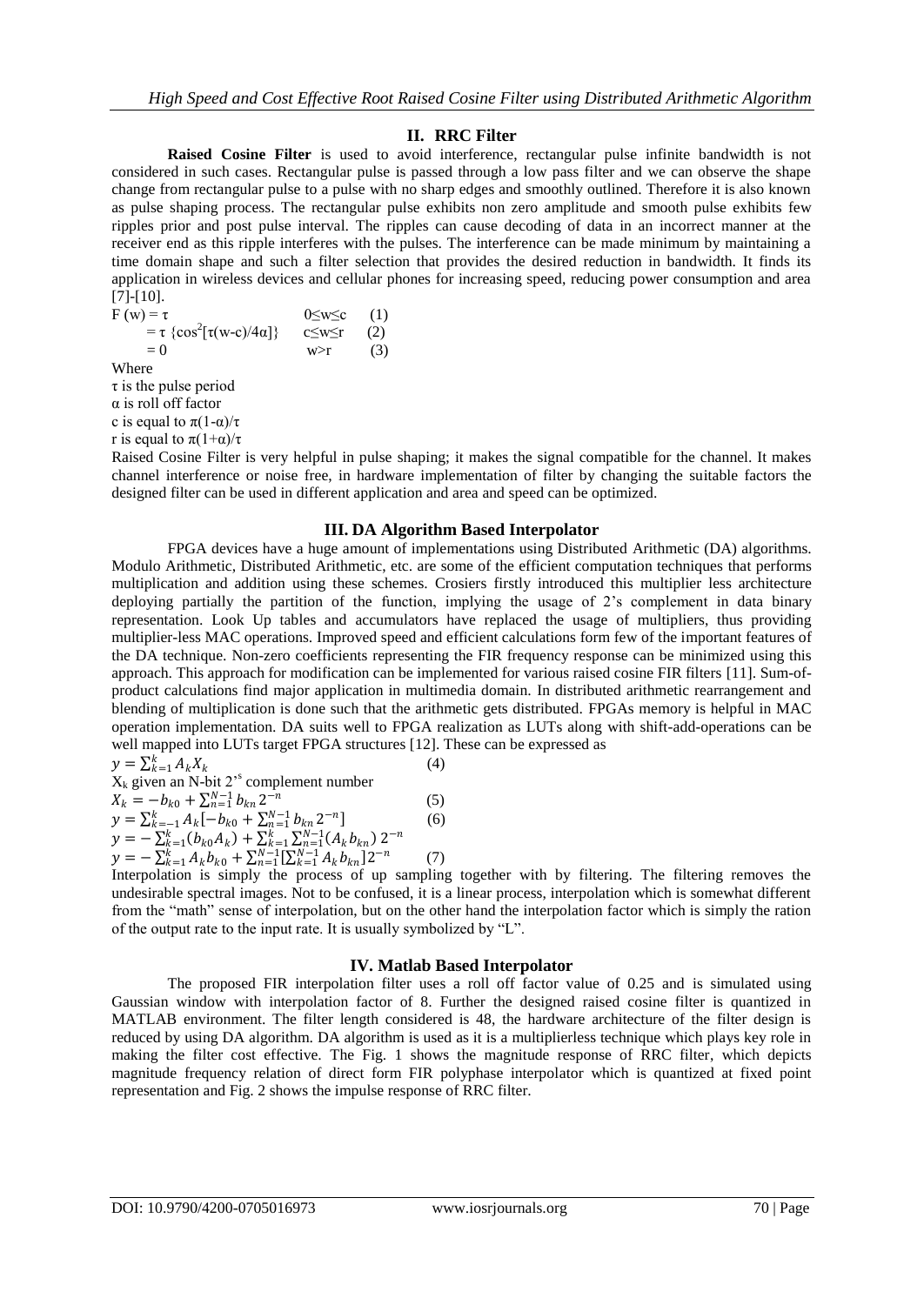## **II. RRC Filter**

**Raised Cosine Filter** is used to avoid interference, rectangular pulse infinite bandwidth is not considered in such cases. Rectangular pulse is passed through a low pass filter and we can observe the shape change from rectangular pulse to a pulse with no sharp edges and smoothly outlined. Therefore it is also known as pulse shaping process. The rectangular pulse exhibits non zero amplitude and smooth pulse exhibits few ripples prior and post pulse interval. The ripples can cause decoding of data in an incorrect manner at the receiver end as this ripple interferes with the pulses. The interference can be made minimum by maintaining a time domain shape and such a filter selection that provides the desired reduction in bandwidth. It finds its application in wireless devices and cellular phones for increasing speed, reducing power consumption and area [7]-[10].

 $F (w) = \tau$  0≤w≤c (1) =  $\tau \{cos^2[\tau(w-c)/4\alpha]\}$  c $\leq w \leq r$  (2)  $= 0$  w>r (3) Where  $\tau$  is the pulse period α is roll off factor c is equal to  $\pi(1-\alpha)/\tau$ 

r is equal to  $\pi(1+\alpha)/\tau$ 

Raised Cosine Filter is very helpful in pulse shaping; it makes the signal compatible for the channel. It makes channel interference or noise free, in hardware implementation of filter by changing the suitable factors the designed filter can be used in different application and area and speed can be optimized.

## **III. DA Algorithm Based Interpolator**

FPGA devices have a huge amount of implementations using Distributed Arithmetic (DA) algorithms. Modulo Arithmetic, Distributed Arithmetic, etc. are some of the efficient computation techniques that performs multiplication and addition using these schemes. Crosiers firstly introduced this multiplier less architecture deploying partially the partition of the function, implying the usage of 2's complement in data binary representation. Look Up tables and accumulators have replaced the usage of multipliers, thus providing multiplier-less MAC operations. Improved speed and efficient calculations form few of the important features of the DA technique. Non-zero coefficients representing the FIR frequency response can be minimized using this approach. This approach for modification can be implemented for various raised cosine FIR filters [11]. Sum-ofproduct calculations find major application in multimedia domain. In distributed arithmetic rearrangement and blending of multiplication is done such that the arithmetic gets distributed. FPGAs memory is helpful in MAC operation implementation. DA suits well to FPGA realization as LUTs along with shift-add-operations can be well mapped into LUTs target FPGA structures [12]. These can be expressed as

$$
y = \sum_{k=1}^{k} A_k X_k \tag{4}
$$

$$
X_k
$$
 given an N-bit 2<sup>5</sup> complement number

$$
X_k = -b_{k0} + \sum_{n=1}^{N-1} b_{kn} 2^{-n}
$$
(5)  
\n
$$
y = \sum_{k=-1}^{k} A_k [-b_{k0} + \sum_{n=1}^{N-1} b_{kn} 2^{-n}]
$$
(6)  
\n
$$
y = -\sum_{k=1}^{k} (b_{k0} A_k) + \sum_{k=1}^{k} \sum_{n=1}^{N-1} (A_k b_{kn}) 2^{-n}
$$

$$
y = -\sum_{k=1}^{N} (b_{k0}A_{k}) + \sum_{n=1}^{N-1} \sum_{k=1}^{N-1} (A_{k}b_{kn})^{2}
$$
  

$$
y = -\sum_{k=1}^{N} A_{k}b_{k0} + \sum_{n=1}^{N-1} \sum_{k=1}^{N-1} A_{k}b_{kn}
$$

Interpolation is simply the process of up sampling together with by filtering. The filtering removes the undesirable spectral images. Not to be confused, it is a linear process, interpolation which is somewhat different from the "math" sense of interpolation, but on the other hand the interpolation factor which is simply the ration of the output rate to the input rate. It is usually symbolized by "L".

## **IV. Matlab Based Interpolator**

The proposed FIR interpolation filter uses a roll off factor value of 0.25 and is simulated using Gaussian window with interpolation factor of 8. Further the designed raised cosine filter is quantized in MATLAB environment. The filter length considered is 48, the hardware architecture of the filter design is reduced by using DA algorithm. DA algorithm is used as it is a multiplierless technique which plays key role in making the filter cost effective. The Fig. 1 shows the magnitude response of RRC filter, which depicts magnitude frequency relation of direct form FIR polyphase interpolator which is quantized at fixed point representation and Fig. 2 shows the impulse response of RRC filter.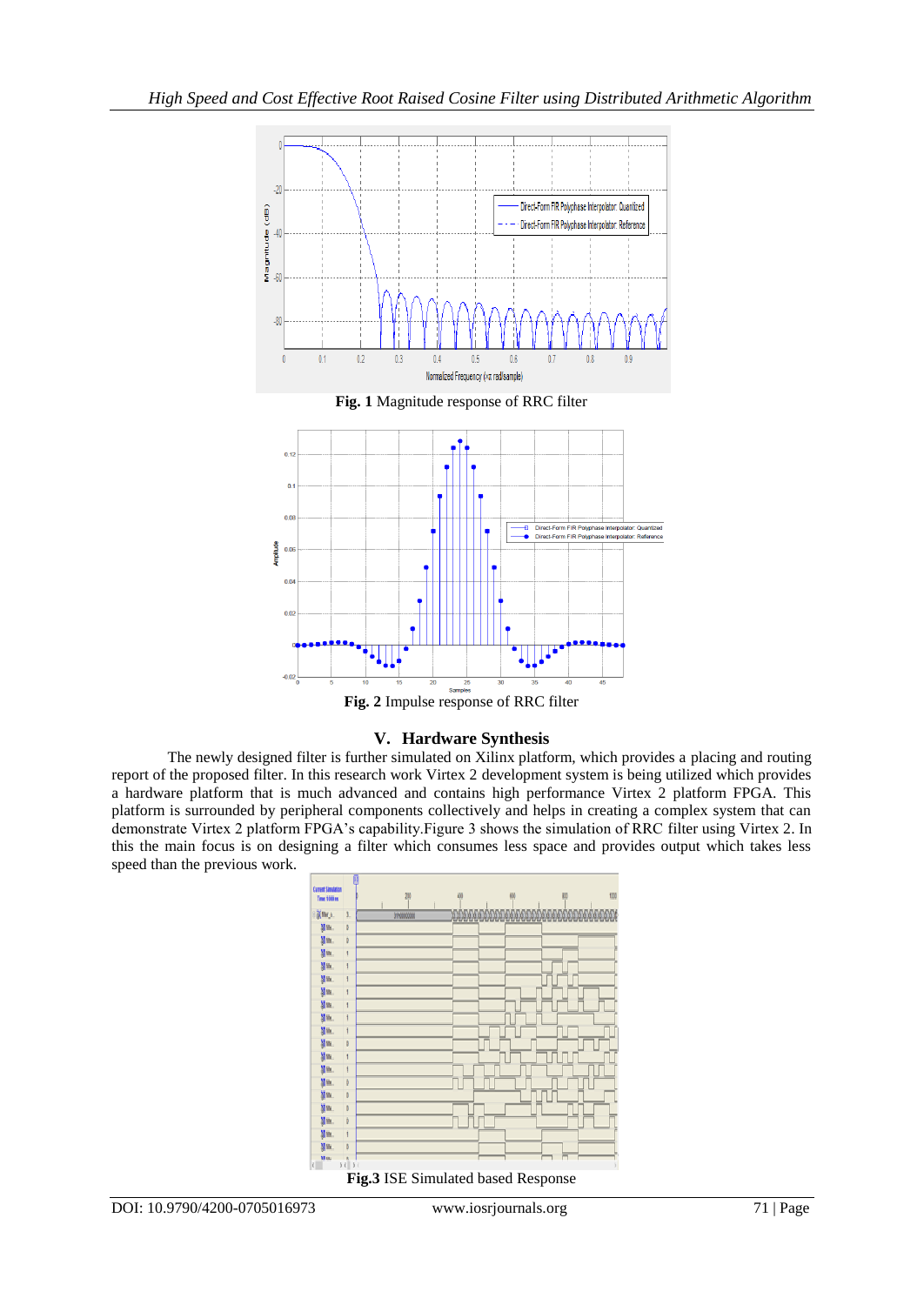

## **V. Hardware Synthesis**

The newly designed filter is further simulated on Xilinx platform, which provides a placing and routing report of the proposed filter. In this research work Virtex 2 development system is being utilized which provides a hardware platform that is much advanced and contains high performance Virtex 2 platform FPGA. This platform is surrounded by peripheral components collectively and helps in creating a complex system that can demonstrate Virtex 2 platform FPGA's capability.Figure 3 shows the simulation of RRC filter using Virtex 2. In this the main focus is on designing a filter which consumes less space and provides output which takes less speed than the previous work.

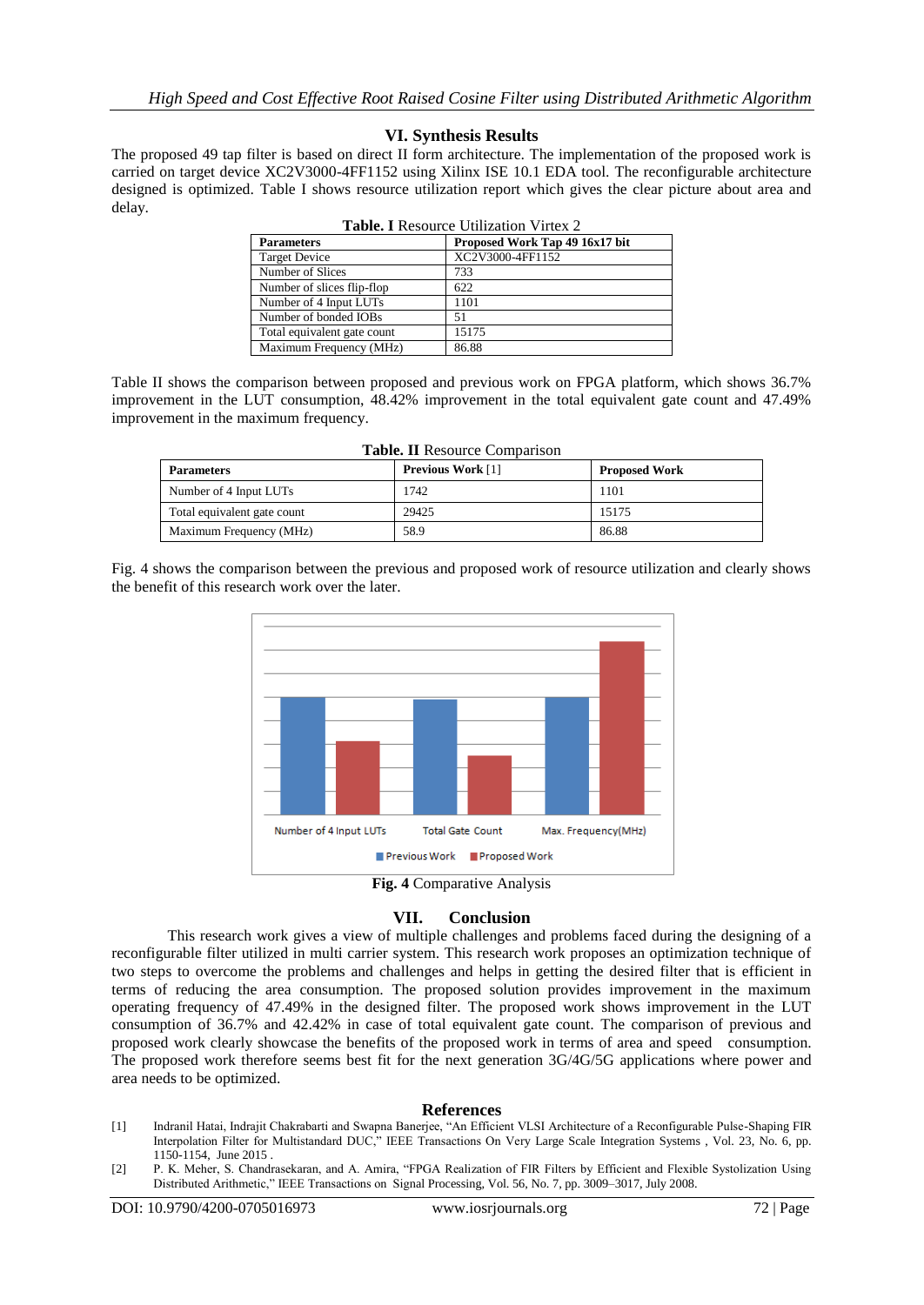## **VI. Synthesis Results**

The proposed 49 tap filter is based on direct II form architecture. The implementation of the proposed work is carried on target device XC2V3000-4FF1152 using Xilinx ISE 10.1 EDA tool. The reconfigurable architecture designed is optimized. Table I shows resource utilization report which gives the clear picture about area and delay.

| <b>Table. I</b> Resource Utilization Virtex 2 |                                |  |  |
|-----------------------------------------------|--------------------------------|--|--|
| <b>Parameters</b>                             | Proposed Work Tap 49 16x17 bit |  |  |
| <b>Target Device</b>                          | XC2V3000-4FF1152               |  |  |
| Number of Slices                              | 733                            |  |  |
| Number of slices flip-flop                    | 622                            |  |  |
| Number of 4 Input LUTs                        | 1101                           |  |  |
| Number of bonded IOBs                         | 51                             |  |  |
| Total equivalent gate count                   | 15175                          |  |  |
| Maximum Frequency (MHz)                       | 86.88                          |  |  |

| Table II shows the comparison between proposed and previous work on FPGA platform, which shows 36.7% |
|------------------------------------------------------------------------------------------------------|
| improvement in the LUT consumption, 48.42% improvement in the total equivalent gate count and 47.49% |
| improvement in the maximum frequency.                                                                |

| <b>Table. II Resource Comparison</b> |                          |                      |  |
|--------------------------------------|--------------------------|----------------------|--|
| <b>Parameters</b>                    | <b>Previous Work</b> [1] | <b>Proposed Work</b> |  |
| Number of 4 Input LUTs               | 1742                     | 1101                 |  |
| Total equivalent gate count          | 29425                    | 15175                |  |
| Maximum Frequency (MHz)              | 58.9                     | 86.88                |  |

Fig. 4 shows the comparison between the previous and proposed work of resource utilization and clearly shows the benefit of this research work over the later.



**Fig. 4** Comparative Analysis

## **VII. Conclusion**

This research work gives a view of multiple challenges and problems faced during the designing of a reconfigurable filter utilized in multi carrier system. This research work proposes an optimization technique of two steps to overcome the problems and challenges and helps in getting the desired filter that is efficient in terms of reducing the area consumption. The proposed solution provides improvement in the maximum operating frequency of 47.49% in the designed filter. The proposed work shows improvement in the LUT consumption of 36.7% and 42.42% in case of total equivalent gate count. The comparison of previous and proposed work clearly showcase the benefits of the proposed work in terms of area and speed consumption. The proposed work therefore seems best fit for the next generation 3G/4G/5G applications where power and area needs to be optimized.

## **References**

- [1] Indranil Hatai, Indrajit Chakrabarti and Swapna Banerjee, "An Efficient VLSI Architecture of a Reconfigurable Pulse-Shaping FIR Interpolation Filter for Multistandard DUC," IEEE Transactions On Very Large Scale Integration Systems , Vol. 23, No. 6, pp. 1150-1154, June 2015 .
- [2] P. K. Meher, S. Chandrasekaran, and A. Amira, "FPGA Realization of FIR Filters by Efficient and Flexible Systolization Using Distributed Arithmetic," IEEE Transactions on Signal Processing, Vol. 56, No. 7, pp. 3009–3017, July 2008.